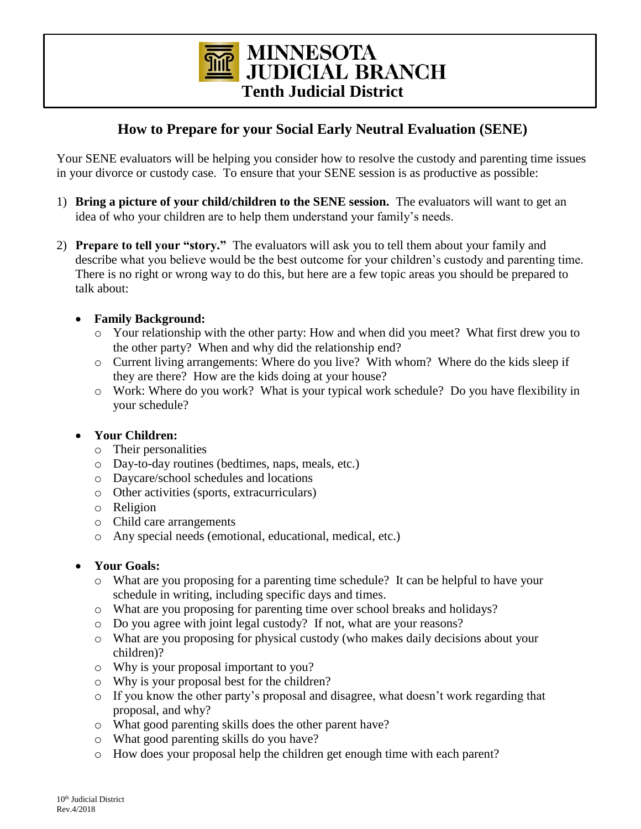**MINNESOTA JUDICIAL BRANCH Tenth Judicial District**

# **How to Prepare for your Social Early Neutral Evaluation (SENE)**

Your SENE evaluators will be helping you consider how to resolve the custody and parenting time issues in your divorce or custody case. To ensure that your SENE session is as productive as possible:

- 1) **Bring a picture of your child/children to the SENE session.** The evaluators will want to get an idea of who your children are to help them understand your family's needs.
- 2) **Prepare to tell your "story."** The evaluators will ask you to tell them about your family and describe what you believe would be the best outcome for your children's custody and parenting time. There is no right or wrong way to do this, but here are a few topic areas you should be prepared to talk about:
	- **Family Background:** 
		- o Your relationship with the other party: How and when did you meet? What first drew you to the other party? When and why did the relationship end?
		- o Current living arrangements: Where do you live? With whom? Where do the kids sleep if they are there? How are the kids doing at your house?
		- o Work: Where do you work? What is your typical work schedule? Do you have flexibility in your schedule?

#### **Your Children:**

- o Their personalities
- o Day-to-day routines (bedtimes, naps, meals, etc.)
- o Daycare/school schedules and locations
- o Other activities (sports, extracurriculars)
- o Religion
- o Child care arrangements
- o Any special needs (emotional, educational, medical, etc.)

## **Your Goals:**

- o What are you proposing for a parenting time schedule? It can be helpful to have your schedule in writing, including specific days and times.
- o What are you proposing for parenting time over school breaks and holidays?
- o Do you agree with joint legal custody? If not, what are your reasons?
- o What are you proposing for physical custody (who makes daily decisions about your children)?
- o Why is your proposal important to you?
- o Why is your proposal best for the children?
- $\circ$  If you know the other party's proposal and disagree, what doesn't work regarding that proposal, and why?
- o What good parenting skills does the other parent have?
- o What good parenting skills do you have?
- o How does your proposal help the children get enough time with each parent?